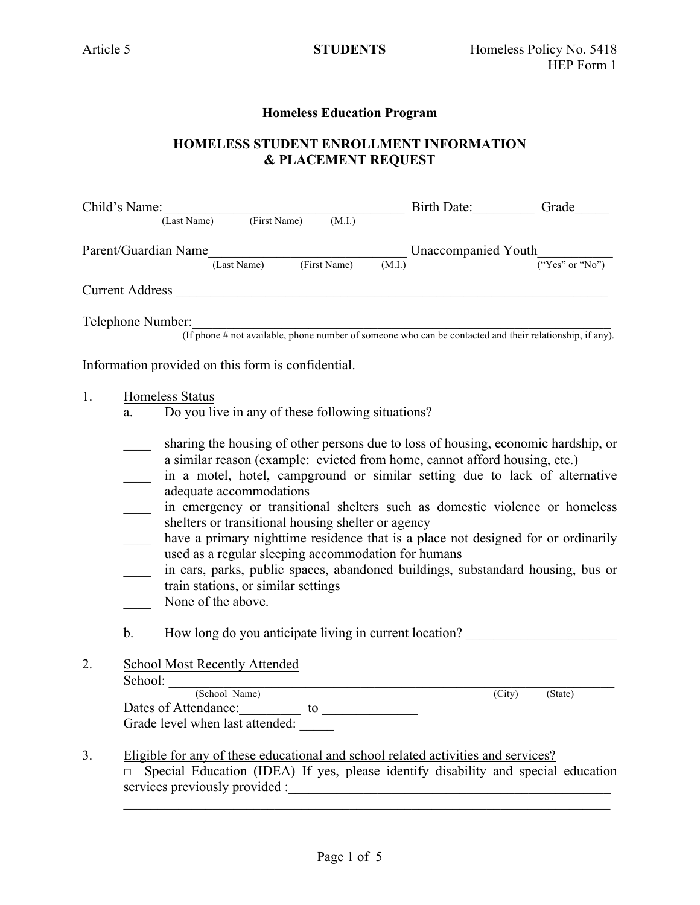## **Homeless Education Program**

# **HOMELESS STUDENT ENROLLMENT INFORMATION & PLACEMENT REQUEST**

| Child's Name:                                                                                                                                                                                                                                                                                                                                                                                                                                                                                                                                                                                                                                                                                                                                                               | Birth Date: Grade |         |
|-----------------------------------------------------------------------------------------------------------------------------------------------------------------------------------------------------------------------------------------------------------------------------------------------------------------------------------------------------------------------------------------------------------------------------------------------------------------------------------------------------------------------------------------------------------------------------------------------------------------------------------------------------------------------------------------------------------------------------------------------------------------------------|-------------------|---------|
| (Last Name) (First Name)<br>(M.I.)<br>Parent/Guardian Name<br>(Last Name) (First Name) (M.I.) Unaccompanied Youth $\frac{1}{("Yes" or "No")}$                                                                                                                                                                                                                                                                                                                                                                                                                                                                                                                                                                                                                               |                   |         |
| Current Address New York Current Address                                                                                                                                                                                                                                                                                                                                                                                                                                                                                                                                                                                                                                                                                                                                    |                   |         |
| Telephone Number:<br>er:<br>(If phone # not available, phone number of someone who can be contacted and their relationship, if any).                                                                                                                                                                                                                                                                                                                                                                                                                                                                                                                                                                                                                                        |                   |         |
| Information provided on this form is confidential.                                                                                                                                                                                                                                                                                                                                                                                                                                                                                                                                                                                                                                                                                                                          |                   |         |
| <b>Homeless Status</b><br>1.<br>Do you live in any of these following situations?<br>a.                                                                                                                                                                                                                                                                                                                                                                                                                                                                                                                                                                                                                                                                                     |                   |         |
| sharing the housing of other persons due to loss of housing, economic hardship, or<br>a similar reason (example: evicted from home, cannot afford housing, etc.)<br>in a motel, hotel, campground or similar setting due to lack of alternative<br>adequate accommodations<br>in emergency or transitional shelters such as domestic violence or homeless<br>shelters or transitional housing shelter or agency<br>have a primary nighttime residence that is a place not designed for or ordinarily<br>used as a regular sleeping accommodation for humans<br>in cars, parks, public spaces, abandoned buildings, substandard housing, bus or<br>train stations, or similar settings<br>None of the above.<br>How long do you anticipate living in current location?<br>b. |                   |         |
| <b>School Most Recently Attended</b><br>2.<br>School: (School Name)<br>Dates of Attendance: to to                                                                                                                                                                                                                                                                                                                                                                                                                                                                                                                                                                                                                                                                           | (City)            | (State) |
| Grade level when last attended:<br>3.<br>Eligible for any of these educational and school related activities and services?                                                                                                                                                                                                                                                                                                                                                                                                                                                                                                                                                                                                                                                  |                   |         |
| Special Education (IDEA) If yes, please identify disability and special education                                                                                                                                                                                                                                                                                                                                                                                                                                                                                                                                                                                                                                                                                           |                   |         |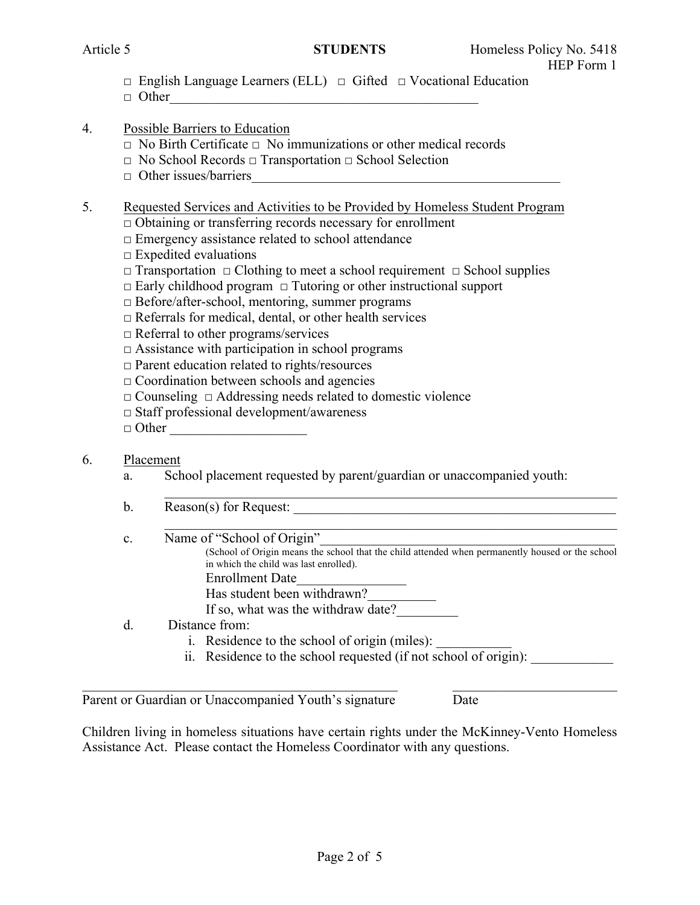- □ English Language Learners (ELL) □ Gifted □ Vocational Education
- $\Box$  Other

# 4. Possible Barriers to Education

- $\Box$  No Birth Certificate  $\Box$  No immunizations or other medical records
- □ No School Records □ Transportation □ School Selection
- $\Box$  Other issues/barriers

## 5. Requested Services and Activities to be Provided by Homeless Student Program

- $\Box$  Obtaining or transferring records necessary for enrollment
- $\Box$  Emergency assistance related to school attendance
- $\square$  Expedited evaluations
- □ Transportation □ Clothing to meet a school requirement □ School supplies
- $\Box$  Early childhood program  $\Box$  Tutoring or other instructional support
- □ Before/after-school, mentoring, summer programs
- $\Box$  Referrals for medical, dental, or other health services
- □ Referral to other programs/services
- $\Box$  Assistance with participation in school programs
- $\Box$  Parent education related to rights/resources
- $\Box$  Coordination between schools and agencies
- □ Counseling □ Addressing needs related to domestic violence
- □ Staff professional development/awareness
- $\Box$  Other

# 6. Placement

- a. School placement requested by parent/guardian or unaccompanied youth:
- $\mathcal{L}_\mathcal{L} = \mathcal{L}_\mathcal{L} = \mathcal{L}_\mathcal{L} = \mathcal{L}_\mathcal{L} = \mathcal{L}_\mathcal{L} = \mathcal{L}_\mathcal{L} = \mathcal{L}_\mathcal{L} = \mathcal{L}_\mathcal{L} = \mathcal{L}_\mathcal{L} = \mathcal{L}_\mathcal{L} = \mathcal{L}_\mathcal{L} = \mathcal{L}_\mathcal{L} = \mathcal{L}_\mathcal{L} = \mathcal{L}_\mathcal{L} = \mathcal{L}_\mathcal{L} = \mathcal{L}_\mathcal{L} = \mathcal{L}_\mathcal{L}$ b. Reason(s) for Request:
- $\mathcal{L}_\mathcal{L} = \mathcal{L}_\mathcal{L} = \mathcal{L}_\mathcal{L} = \mathcal{L}_\mathcal{L} = \mathcal{L}_\mathcal{L} = \mathcal{L}_\mathcal{L} = \mathcal{L}_\mathcal{L} = \mathcal{L}_\mathcal{L} = \mathcal{L}_\mathcal{L} = \mathcal{L}_\mathcal{L} = \mathcal{L}_\mathcal{L} = \mathcal{L}_\mathcal{L} = \mathcal{L}_\mathcal{L} = \mathcal{L}_\mathcal{L} = \mathcal{L}_\mathcal{L} = \mathcal{L}_\mathcal{L} = \mathcal{L}_\mathcal{L}$ c. Name of "School of Origin"
	- (School of Origin means the school that the child attended when permanently housed or the school in which the child was last enrolled).
	- Enrollment Date\_\_\_\_\_\_\_\_\_\_\_\_\_\_\_\_
	- Has student been withdrawn?
	- If so, what was the withdraw date?
- d. Distance from:
	- i. Residence to the school of origin (miles):
	- ii. Residence to the school requested (if not school of origin):

 $\mathcal{L}_\text{max}$  , and the contribution of the contribution of the contribution of the contribution of the contribution of the contribution of the contribution of the contribution of the contribution of the contribution of t Parent or Guardian or Unaccompanied Youth's signature Date

Children living in homeless situations have certain rights under the McKinney-Vento Homeless Assistance Act. Please contact the Homeless Coordinator with any questions.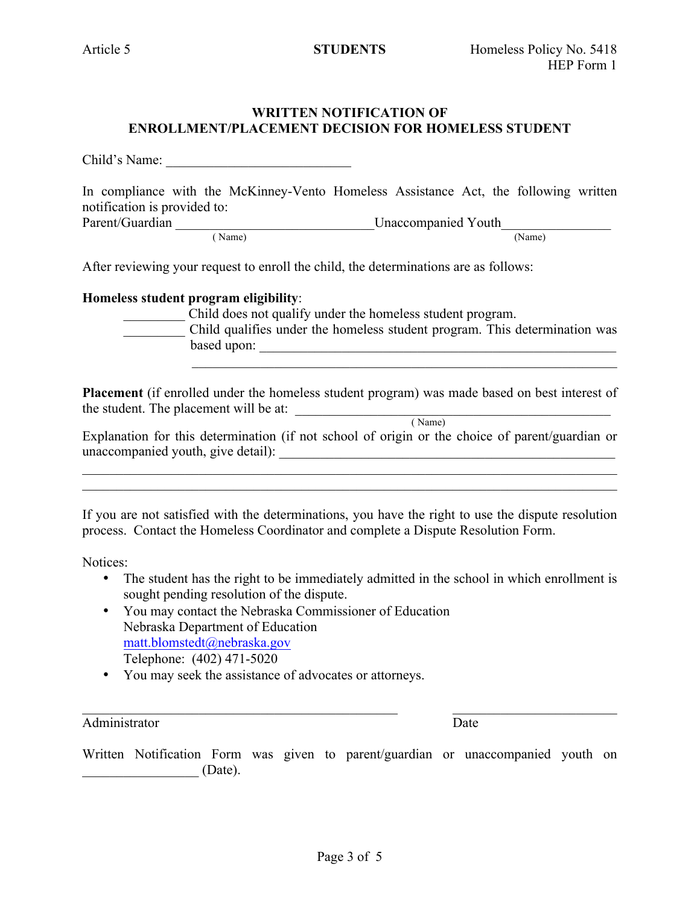## **WRITTEN NOTIFICATION OF ENROLLMENT/PLACEMENT DECISION FOR HOMELESS STUDENT**

Child's Name:

In compliance with the McKinney-Vento Homeless Assistance Act, the following written notification is provided to: Parent/Guardian \_\_\_\_\_\_\_\_\_\_\_\_\_\_\_\_\_\_\_\_\_\_\_\_\_\_\_\_\_Unaccompanied Youth\_\_\_\_\_\_\_\_\_\_\_\_\_\_\_\_ ( Name) (Name)

After reviewing your request to enroll the child, the determinations are as follows:

#### **Homeless student program eligibility**:

| Child does not qualify under the homeless student program. |
|------------------------------------------------------------|
|------------------------------------------------------------|

\_\_\_\_\_\_\_\_\_ Child qualifies under the homeless student program. This determination was based upon: \_\_\_\_\_\_\_\_\_\_\_\_\_\_\_\_\_\_\_\_\_\_\_\_\_\_\_\_\_\_\_\_\_\_\_\_\_\_\_\_\_\_\_\_\_\_\_\_\_\_\_\_

 $\mathcal{L}_\text{max} = \frac{1}{2} \sum_{i=1}^{n} \frac{1}{2} \sum_{i=1}^{n} \frac{1}{2} \sum_{i=1}^{n} \frac{1}{2} \sum_{i=1}^{n} \frac{1}{2} \sum_{i=1}^{n} \frac{1}{2} \sum_{i=1}^{n} \frac{1}{2} \sum_{i=1}^{n} \frac{1}{2} \sum_{i=1}^{n} \frac{1}{2} \sum_{i=1}^{n} \frac{1}{2} \sum_{i=1}^{n} \frac{1}{2} \sum_{i=1}^{n} \frac{1}{2} \sum_{i=1}^{n} \frac{1$ 

**Placement** (if enrolled under the homeless student program) was made based on best interest of **Placement** (if emoned and  $\alpha$  is  $\alpha$  is  $\alpha$  is  $\alpha$  is  $\alpha$  is  $\alpha$  is  $\alpha$  is  $\alpha$  is  $\alpha$  is  $\alpha$  is  $\alpha$  is  $\alpha$  is  $\alpha$  is  $\alpha$  is  $\alpha$  is  $\alpha$  is  $\alpha$  is  $\alpha$  is  $\alpha$  is  $\alpha$  is  $\alpha$  is  $\alpha$  is  $\alpha$  is  $\alpha$  is  $\$ 

| Explanation for this determination (if not school of origin or the choice of parent/guardian or |  |  |
|-------------------------------------------------------------------------------------------------|--|--|
| unaccompanied youth, give detail):                                                              |  |  |

 $\mathcal{L}_\mathcal{L} = \{ \mathcal{L}_\mathcal{L} = \{ \mathcal{L}_\mathcal{L} = \{ \mathcal{L}_\mathcal{L} = \{ \mathcal{L}_\mathcal{L} = \{ \mathcal{L}_\mathcal{L} = \{ \mathcal{L}_\mathcal{L} = \{ \mathcal{L}_\mathcal{L} = \{ \mathcal{L}_\mathcal{L} = \{ \mathcal{L}_\mathcal{L} = \{ \mathcal{L}_\mathcal{L} = \{ \mathcal{L}_\mathcal{L} = \{ \mathcal{L}_\mathcal{L} = \{ \mathcal{L}_\mathcal{L} = \{ \mathcal{L}_\mathcal{$  $\mathcal{L}_\mathcal{L} = \{ \mathcal{L}_\mathcal{L} = \{ \mathcal{L}_\mathcal{L} = \{ \mathcal{L}_\mathcal{L} = \{ \mathcal{L}_\mathcal{L} = \{ \mathcal{L}_\mathcal{L} = \{ \mathcal{L}_\mathcal{L} = \{ \mathcal{L}_\mathcal{L} = \{ \mathcal{L}_\mathcal{L} = \{ \mathcal{L}_\mathcal{L} = \{ \mathcal{L}_\mathcal{L} = \{ \mathcal{L}_\mathcal{L} = \{ \mathcal{L}_\mathcal{L} = \{ \mathcal{L}_\mathcal{L} = \{ \mathcal{L}_\mathcal{$ 

If you are not satisfied with the determinations, you have the right to use the dispute resolution process. Contact the Homeless Coordinator and complete a Dispute Resolution Form.

Notices:

- The student has the right to be immediately admitted in the school in which enrollment is sought pending resolution of the dispute.
- You may contact the Nebraska Commissioner of Education Nebraska Department of Education matt.blomstedt@nebraska.gov Telephone: (402) 471-5020
- You may seek the assistance of advocates or attorneys.

Administrator Date

 $\mathcal{L}_\text{max}$  , and the contribution of the contribution of the contribution of the contribution of the contribution of the contribution of the contribution of the contribution of the contribution of the contribution of t

Written Notification Form was given to parent/guardian or unaccompanied youth on \_\_\_\_\_\_\_\_\_\_\_\_\_\_\_\_\_ (Date).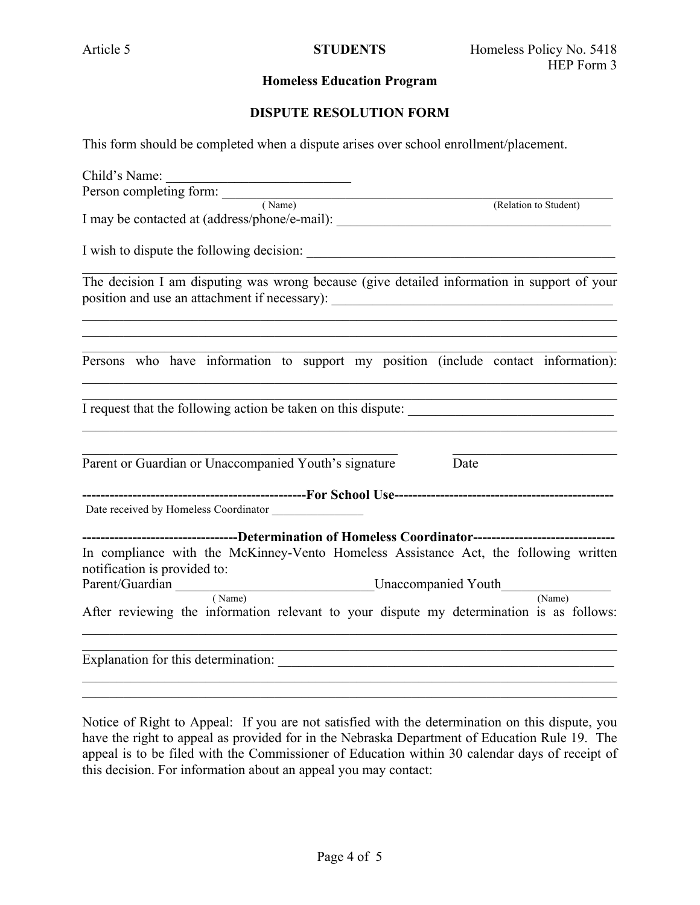#### **Homeless Education Program**

#### **DISPUTE RESOLUTION FORM**

This form should be completed when a dispute arises over school enrollment/placement.

| Child's Name:<br><u> 1989 - Johann John Stein, mars an deus Amerikaansk kommunister (</u>                                                                                        |                       |
|----------------------------------------------------------------------------------------------------------------------------------------------------------------------------------|-----------------------|
|                                                                                                                                                                                  |                       |
| Person completing form: (Name)                                                                                                                                                   | (Relation to Student) |
| I may be contacted at (address/phone/e-mail): __________________________________                                                                                                 |                       |
|                                                                                                                                                                                  |                       |
| The decision I am disputing was wrong because (give detailed information in support of your<br>position and use an attachment if necessary): ___________________________________ |                       |
| Persons who have information to support my position (include contact information):                                                                                               |                       |
| I request that the following action be taken on this dispute:                                                                                                                    |                       |
| Parent or Guardian or Unaccompanied Youth's signature                                                                                                                            | Date                  |
|                                                                                                                                                                                  |                       |
| Date received by Homeless Coordinator                                                                                                                                            |                       |
| ---------------------------------Determination of Homeless Coordinator------------------------------                                                                             |                       |
| In compliance with the McKinney-Vento Homeless Assistance Act, the following written                                                                                             |                       |
| notification is provided to:                                                                                                                                                     |                       |
| Parent/Guardian _________________________________Unaccompanied Youth<br>(Name)                                                                                                   | (Name)                |
| After reviewing the information relevant to your dispute my determination is as follows:                                                                                         |                       |
|                                                                                                                                                                                  |                       |
|                                                                                                                                                                                  |                       |

Notice of Right to Appeal: If you are not satisfied with the determination on this dispute, you have the right to appeal as provided for in the Nebraska Department of Education Rule 19. The appeal is to be filed with the Commissioner of Education within 30 calendar days of receipt of this decision. For information about an appeal you may contact: